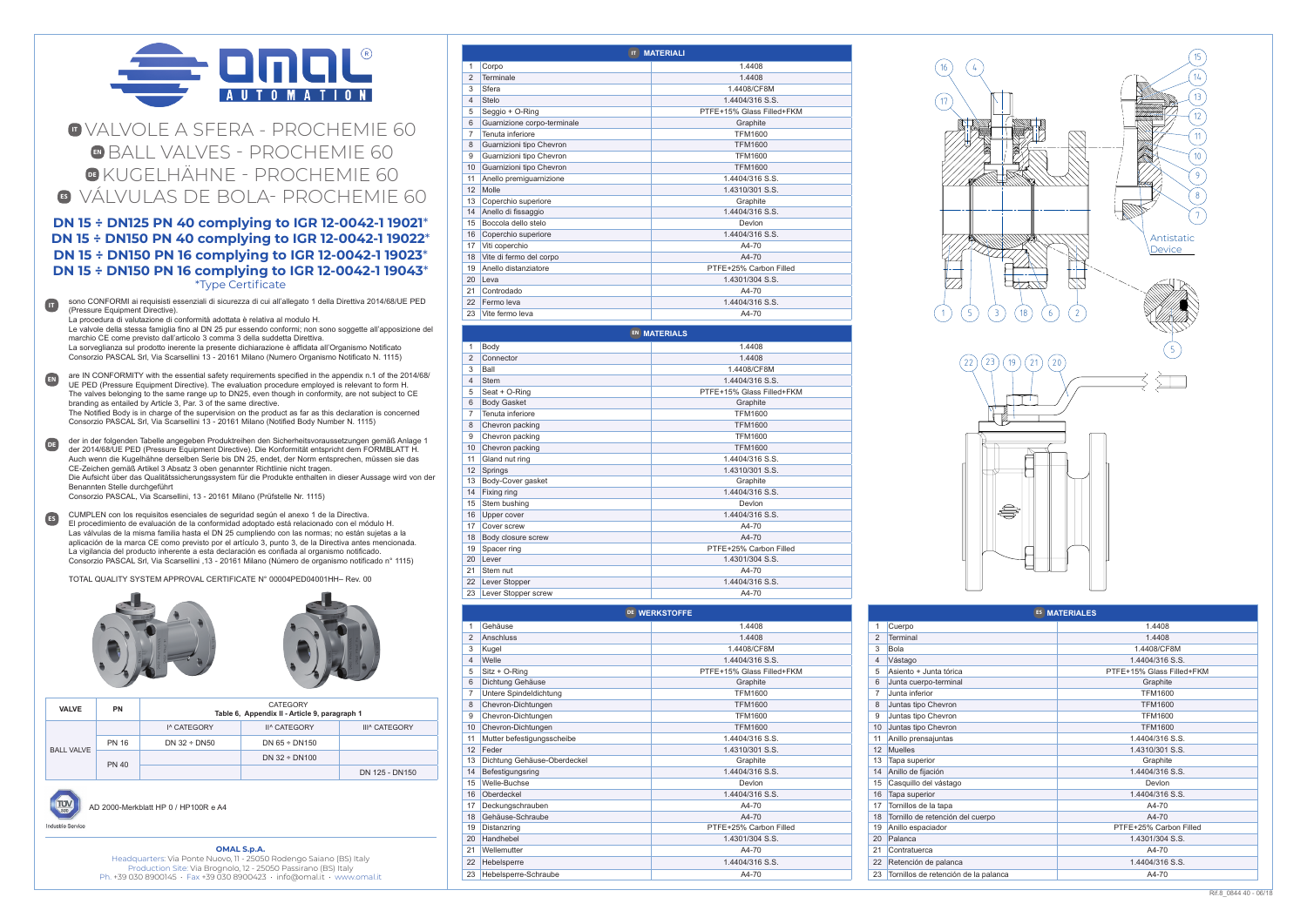### **OMAL S.p.A.**

Headquarters: Via Ponte Nuovo, 11 - 25050 Rodengo Saiano (BS) Italy Production Site: Via Brognolo, 12 - 25050 Passirano (BS) Italy Ph. +39 030 8900145 • Fax +39 030 8900423 • info@omal.it • www.omal.it

| <b>EN MATERIALS</b> |                     |                           |  |
|---------------------|---------------------|---------------------------|--|
| 1                   | Body                | 1.4408                    |  |
| $\overline{2}$      | Connector           | 1.4408                    |  |
| 3                   | Ball                | 1.4408/CF8M               |  |
| 4                   | <b>Stem</b>         | 1.4404/316 S.S.           |  |
| 5                   | Seat + O-Ring       | PTFE+15% Glass Filled+FKM |  |
| 6                   | <b>Body Gasket</b>  | Graphite                  |  |
| 7                   | Tenuta inferiore    | <b>TFM1600</b>            |  |
| 8                   | Chevron packing     | <b>TFM1600</b>            |  |
| 9                   | Chevron packing     | <b>TFM1600</b>            |  |
| 10                  | Chevron packing     | <b>TFM1600</b>            |  |
| 11                  | Gland nut ring      | 1.4404/316 S.S.           |  |
| 12 <sup>2</sup>     | Springs             | 1.4310/301 S.S.           |  |
| 13                  | Body-Cover gasket   | Graphite                  |  |
| 14                  | Fixing ring         | 1.4404/316 S.S.           |  |
| 15                  | Stem bushing        | Devlon                    |  |
| 16                  | Upper cover         | 1.4404/316 S.S.           |  |
| 17                  | Cover screw         | A4-70                     |  |
| 18                  | Body closure screw  | A4-70                     |  |
| 19                  | Spacer ring         | PTFE+25% Carbon Filled    |  |
| 20                  | Lever               | 1.4301/304 S.S.           |  |
| 21                  | Stem nut            | A4-70                     |  |
| 22                  | Lever Stopper       | 1.4404/316 S.S.           |  |
| 23                  | Lever Stopper screw | A4-70                     |  |



# **IT** VALVOLE A SFERA - PROCHEMIE 60 **EN** BALL VALVES - PROCHEMIE 60 **DE** KUGELHÄHNE - PROCHEMIE 60 **ES** VÁLVULAS DE BOLA- PROCHEMIE 60

## **DN 15 ÷ DN125 PN 40 complying to IGR 12-0042-1 19021**\* **DN 15 ÷ DN150 PN 40 complying to IGR 12-0042-1 19022**\* **DN 15 ÷ DN150 PN 16 complying to IGR 12-0042-1 19023**\* **DN 15 ÷ DN150 PN 16 complying to IGR 12-0042-1 19043**\* \*Type Certificate



22 23 19 21 20





ALTRE QUOTE SENZA INDICAZIONE DI TOLLERANZA: OTHER DIMENSIONS WITHOUT TOLERANCE INDICATION:

PARTICOLARE / DETAIL DATA APP / APP DATE

STATO / STATE MATERIALE / MATERIAL QUOTE LINEARI SENZA INDICAZIONE DI TOLLERANZA: LINEAR DIMENSIONS WITHOUT TOLERANCE INDICATION:

F&B IGR VALVES DN50 PN40 FTF F4

| <b>MATERIALI</b><br>$\mathbf{H}$ |                             |                           |  |
|----------------------------------|-----------------------------|---------------------------|--|
| 1                                | Corpo                       | 1.4408                    |  |
| 2                                | <b>Terminale</b>            | 1.4408                    |  |
| 3                                | Sfera                       | 1.4408/CF8M               |  |
| $\overline{4}$                   | Stelo                       | 1.4404/316 S.S.           |  |
| 5                                | Seggio + O-Ring             | PTFE+15% Glass Filled+FKM |  |
| 6                                | Guarnizione corpo-terminale | Graphite                  |  |
| 7                                | Tenuta inferiore            | <b>TFM1600</b>            |  |
| 8                                | Guarnizioni tipo Chevron    | <b>TFM1600</b>            |  |
| 9                                | Guarnizioni tipo Chevron    | <b>TFM1600</b>            |  |
| 10                               | Guarnizioni tipo Chevron    | <b>TFM1600</b>            |  |
| 11                               | Anello premiquarnizione     | 1.4404/316 S.S.           |  |
| 12                               | Molle                       | 1.4310/301 S.S.           |  |
| 13                               | Coperchio superiore         | Graphite                  |  |
| 14                               | Anello di fissaggio         | 1.4404/316 S.S.           |  |
| 15                               | Boccola dello stelo         | Devlon                    |  |
| 16                               | Coperchio superiore         | 1.4404/316 S.S.           |  |
| 17                               | Viti coperchio              | A4-70                     |  |
| 18                               | Vite di fermo del corpo     | A4-70                     |  |
| 19                               | Anello distanziatore        | PTFE+25% Carbon Filled    |  |
| 20                               | Leva                        | 1.4301/304 S.S.           |  |
| 21                               | Controdado                  | A4-70                     |  |
| 22                               | Fermo leva                  | 1.4404/316 S.S.           |  |
| 23                               | Vite fermo leva             | A4-70                     |  |

La procedura di valutazione di conformità adottata è relativa al modulo H.

|                 | DE WERKSTOFFE                            |                           |  |  |
|-----------------|------------------------------------------|---------------------------|--|--|
| 1               | Gehäuse                                  | 1.4408                    |  |  |
| $\overline{2}$  | Anschluss                                | 1.4408                    |  |  |
| 3               | Kugel                                    | 1.4408/CF8M               |  |  |
| $\overline{4}$  | Welle                                    | 1.4404/316 S.S.           |  |  |
| 5               | Sitz + O-Ring                            | PTFE+15% Glass Filled+FKM |  |  |
| 6               | Dichtung Gehäuse                         | Graphite                  |  |  |
| 7               | Untere Spindeldichtung<br><b>TFM1600</b> |                           |  |  |
| 8               | Chevron-Dichtungen                       | <b>TFM1600</b>            |  |  |
| 9               | Chevron-Dichtungen                       | <b>TFM1600</b>            |  |  |
| 10              | Chevron-Dichtungen                       | <b>TFM1600</b>            |  |  |
| 11              | Mutter befestigungsscheibe               | 1.4404/316 S.S.           |  |  |
| 12              | Feder                                    | 1.4310/301 S.S.           |  |  |
| 13              | Dichtung Gehäuse-Oberdeckel              | Graphite                  |  |  |
| 14              | Befestigungsring                         | 1.4404/316 S.S.           |  |  |
| 15              | Welle-Buchse                             | Devlon                    |  |  |
| 16              | Oberdeckel                               | 1.4404/316 S.S.           |  |  |
| 17              | Deckungschrauben                         | A4-70                     |  |  |
| 18              | Gehäuse-Schraube                         | A4-70                     |  |  |
| 19              | Distanzring                              | PTFE+25% Carbon Filled    |  |  |
| 20 <sub>0</sub> | Handhebel                                | 1.4301/304 S.S.           |  |  |
| 21              | Wellemutter                              | A4-70                     |  |  |
| 22              | Hebelsperre                              | 1.4404/316 S.S.           |  |  |
| 23              | Hebelsperre-Schraube                     | A4-70                     |  |  |

Le valvole della stessa famiglia fino al DN 25 pur essendo conformi; non sono soggette all'apposizione del marchio CE come previsto dall'articolo 3 comma 3 della suddetta Direttiva. La sorveglianza sul prodotto inerente la presente dichiarazione è affidata all'Organismo Notificato Consorzio PASCAL Srl, Via Scarsellini 13 - 20161 Milano (Numero Organismo Notificato N. 1115)

| ES MATERIALES                                       |                                  |                           |  |
|-----------------------------------------------------|----------------------------------|---------------------------|--|
| 1                                                   | Cuerpo                           | 1.4408                    |  |
| $\overline{2}$                                      | <b>Terminal</b>                  | 1.4408                    |  |
| 3                                                   | Bola                             | 1.4408/CF8M               |  |
| $\overline{4}$                                      | Vástago                          | 1.4404/316 S.S.           |  |
| 5                                                   | Asiento + Junta tórica           | PTFE+15% Glass Filled+FKM |  |
| 6                                                   | Junta cuerpo-terminal            | Graphite                  |  |
| $\overline{7}$                                      | Junta inferior                   | <b>TFM1600</b>            |  |
| 8                                                   | Juntas tipo Chevron              | <b>TFM1600</b>            |  |
| 9                                                   | Juntas tipo Chevron              | <b>TFM1600</b>            |  |
| 10                                                  | Juntas tipo Chevron              | <b>TFM1600</b>            |  |
| 11                                                  | Anillo prensajuntas              | 1.4404/316 S.S.           |  |
| 12                                                  | <b>Muelles</b>                   | 1.4310/301 S.S.           |  |
| 13                                                  | Tapa superior                    | Graphite                  |  |
| 14                                                  | Anillo de fijación               | 1.4404/316 S.S.           |  |
| 15                                                  | Casquillo del vástago            | Devlon                    |  |
| 16                                                  | Tapa superior                    | 1.4404/316 S.S.           |  |
| 17                                                  | Tornillos de la tapa             | A4-70                     |  |
| 18                                                  | Tornillo de retención del cuerpo | A4-70                     |  |
| 19                                                  | Anillo espaciador                | PTFE+25% Carbon Filled    |  |
| 20                                                  | Palanca                          | 1.4301/304 S.S.           |  |
| 21                                                  | Contratuerca                     | A4-70                     |  |
| 22                                                  | Retención de palanca             | 1.4404/316 S.S.           |  |
| 23<br>Tornillos de retención de la palanca<br>A4-70 |                                  |                           |  |

sono CONFORMI ai requisisti essenziali di sicurezza di cui all'allegato 1 della Direttiva 2014/68/UE PED (Pressure Equipment Directive). **IT**

are IN CONFORMITY with the essential safety requirements specified in the appendix n.1 of the 2014/68/ UE PED (Pressure Equipment Directive). The evaluation procedure employed is relevant to form H. The valves belonging to the same range up to DN25, even though in conformity, are not subject to CE branding as entailed by Article 3, Par. 3 of the same directive. The Notified Body is in charge of the supervision on the product as far as this declaration is concerned Consorzio PASCAL Srl, Via Scarsellini 13 - 20161 Milano (Notified Body Number N. 1115) **EN**

Consorzio PASCAL, Via Scarsellini, 13 - 20161 Milano (Prüfstelle Nr. 1115)

der in der folgenden Tabelle angegeben Produktreihen den Sicherheitsvoraussetzungen gemäß Anlage 1 der 2014/68/UE PED (Pressure Equipment Directive). Die Konformität entspricht dem FORMBLATT H. Auch wenn die Kugelhähne derselben Serie bis DN 25, endet, der Norm entsprechen, müssen sie das CE-Zeichen gemäß Artikel 3 Absatz 3 oben genannter Richtlinie nicht tragen. Die Aufsicht über das Qualitätssicherungssystem für die Produkte enthalten in dieser Aussage wird von der Benannten Stelle durchgeführt **DE**

CUMPLEN con los requisitos esenciales de seguridad según el anexo 1 de la Directiva. El procedimiento de evaluación de la conformidad adoptado está relacionado con el módulo H. Las válvulas de la misma familia hasta el DN 25 cumpliendo con las normas; no están sujetas a la aplicación de la marca CE como previsto por el artículo 3, punto 3, de la Directiva antes mencionada. La vigilancia del producto inherente a esta declaración es confiada al organismo notificado. Consorzio PASCAL Srl, Via Scarsellini ,13 - 20161 Milano (Número de organismo notificado n° 1115) **ES**

TOTAL QUALITY SYSTEM APPROVAL CERTIFICATE N° 00004PED04001HH– Rev. 00





| <b>VALVE</b>      | <b>PN</b>    | <b>CATEGORY</b><br>Table 6, Appendix II - Article 9, paragraph 1 |                                           |                |
|-------------------|--------------|------------------------------------------------------------------|-------------------------------------------|----------------|
|                   |              | I <sup>^</sup> CATEGORY                                          | II^ CATEGORY<br>III <sup>^</sup> CATEGORY |                |
| <b>BALL VALVE</b> | <b>PN 16</b> | DN $32 \div$ DN50                                                | DN $65 \div$ DN150                        |                |
|                   | <b>PN 40</b> |                                                                  | DN $32 \div$ DN100                        |                |
|                   |              |                                                                  |                                           | DN 125 - DN150 |

AD 2000-Merkblatt HP 0 / HP100R e A4

ndustrie Servic

TUV